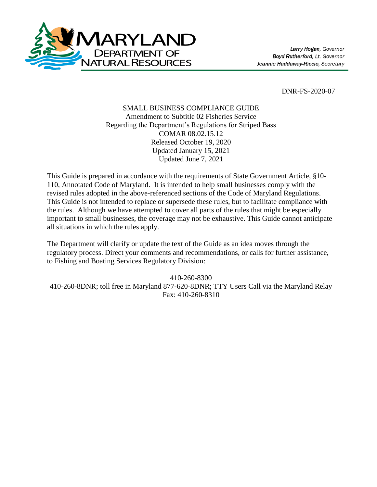

DNR-FS-2020-07

# SMALL BUSINESS COMPLIANCE GUIDE Amendment to Subtitle 02 Fisheries Service Regarding the Department's Regulations for Striped Bass COMAR 08.02.15.12 Released October 19, 2020 Updated January 15, 2021 Updated June 7, 2021

This Guide is prepared in accordance with the requirements of State Government Article, §10- 110, Annotated Code of Maryland. It is intended to help small businesses comply with the revised rules adopted in the above-referenced sections of the Code of Maryland Regulations. This Guide is not intended to replace or supersede these rules, but to facilitate compliance with the rules. Although we have attempted to cover all parts of the rules that might be especially important to small businesses, the coverage may not be exhaustive. This Guide cannot anticipate all situations in which the rules apply.

The Department will clarify or update the text of the Guide as an idea moves through the regulatory process. Direct your comments and recommendations, or calls for further assistance, to Fishing and Boating Services Regulatory Division:

410-260-8300 410-260-8DNR; toll free in Maryland 877-620-8DNR; TTY Users Call via the Maryland Relay Fax: 410-260-8310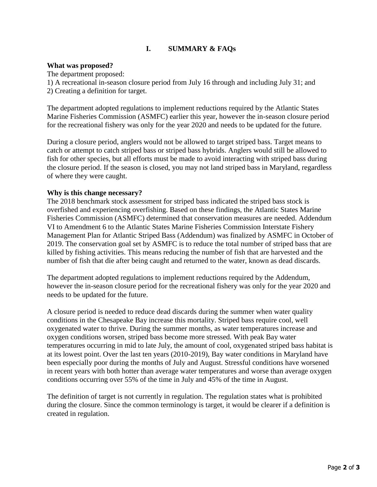# **I. SUMMARY & FAQs**

### **What was proposed?**

The department proposed:

1) A recreational in-season closure period from July 16 through and including July 31; and

2) Creating a definition for target.

The department adopted regulations to implement reductions required by the Atlantic States Marine Fisheries Commission (ASMFC) earlier this year, however the in-season closure period for the recreational fishery was only for the year 2020 and needs to be updated for the future.

During a closure period, anglers would not be allowed to target striped bass. Target means to catch or attempt to catch striped bass or striped bass hybrids. Anglers would still be allowed to fish for other species, but all efforts must be made to avoid interacting with striped bass during the closure period. If the season is closed, you may not land striped bass in Maryland, regardless of where they were caught.

## **Why is this change necessary?**

The 2018 benchmark stock assessment for striped bass indicated the striped bass stock is overfished and experiencing overfishing. Based on these findings, the Atlantic States Marine Fisheries Commission (ASMFC) determined that conservation measures are needed. Addendum VI to Amendment 6 to the Atlantic States Marine Fisheries Commission Interstate Fishery Management Plan for Atlantic Striped Bass (Addendum) was finalized by ASMFC in October of 2019. The conservation goal set by ASMFC is to reduce the total number of striped bass that are killed by fishing activities. This means reducing the number of fish that are harvested and the number of fish that die after being caught and returned to the water, known as dead discards.

The department adopted regulations to implement reductions required by the Addendum, however the in-season closure period for the recreational fishery was only for the year 2020 and needs to be updated for the future.

A closure period is needed to reduce dead discards during the summer when water quality conditions in the Chesapeake Bay increase this mortality. Striped bass require cool, well oxygenated water to thrive. During the summer months, as water temperatures increase and oxygen conditions worsen, striped bass become more stressed. With peak Bay water temperatures occurring in mid to late July, the amount of cool, oxygenated striped bass habitat is at its lowest point. Over the last ten years (2010-2019), Bay water conditions in Maryland have been especially poor during the months of July and August. Stressful conditions have worsened in recent years with both hotter than average water temperatures and worse than average oxygen conditions occurring over 55% of the time in July and 45% of the time in August.

The definition of target is not currently in regulation. The regulation states what is prohibited during the closure. Since the common terminology is target, it would be clearer if a definition is created in regulation.